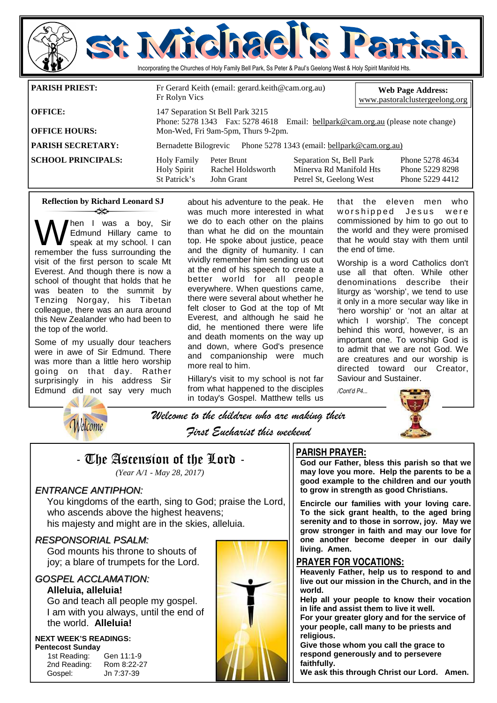

**SCHOOL PRINCIPALS:** Holy Family Peter Brunt Separation St, Bell Park Phone 5278 4634 Holy Spirit Rachel Holdsworth Minerva Rd Manifold Hts Phone 5229 8298 Petrel St, Geelong West

### **Reflection by Richard Leonard SJ**  ન્≫

hen I was a boy, Sir Edmund Hillary came to speak at my school. I can remember the fuss surrounding the visit of the first person to scale Mt Everest. And though there is now a school of thought that holds that he was beaten to the summit by Tenzing Norgay, his Tibetan colleague, there was an aura around this New Zealander who had been to the top of the world.

Some of my usually dour teachers were in awe of Sir Edmund. There was more than a little hero worship going on that day. Rather surprisingly in his address Sir Edmund did not say very much

about his adventure to the peak. He was much more interested in what we do to each other on the plains than what he did on the mountain top. He spoke about justice, peace and the dignity of humanity. I can vividly remember him sending us out at the end of his speech to create a better world for all people everywhere. When questions came, there were several about whether he felt closer to God at the top of Mt Everest, and although he said he did, he mentioned there were life and death moments on the way up and down, where God's presence and companionship were much more real to him.

Hillary's visit to my school is not far from what happened to the disciples in today's Gospel. Matthew tells us

that the eleven men who worshipped Jesus were commissioned by him to go out to the world and they were promised that he would stay with them until the end of time.

Worship is a word Catholics don't use all that often. While other denominations describe their liturgy as 'worship', we tend to use it only in a more secular way like in 'hero worship' or 'not an altar at which I worship'. The concept behind this word, however, is an important one. To worship God is to admit that we are not God. We are creatures and our worship is directed toward our Creator, Saviour and Sustainer.

*/Cont'd P4...* 



Welcome to the children who are making their First Eucharist this weekend

## - The Ascension of the Lord -

*(Year A/1 - May 28, 2017)* 

### ENTRANCE ANTIPHON:

Welcome

 You kingdoms of the earth, sing to God; praise the Lord, who ascends above the highest heavens; his majesty and might are in the skies, alleluia.

### RESPONSORIAL PSALM:

 God mounts his throne to shouts of joy; a blare of trumpets for the Lord.

### GOSPEL ACCLAMATION:

### **Alleluia, alleluia!**

Go and teach all people my gospel. I am with you always, until the end of the world. **Alleluia!** 

### **NEXT WEEK'S READINGS: Pentecost Sunday**

1st Reading: Gen 11:1-9 2nd Reading: Rom 8:22-27 Gospel: Jn 7:37-39



### **PARISH PRAYER:**

**God our Father, bless this parish so that we may love you more. Help the parents to be a good example to the children and our youth to grow in strength as good Christians.** 

**Encircle our families with your loving care. To the sick grant health, to the aged bring serenity and to those in sorrow, joy. May we grow stronger in faith and may our love for one another become deeper in our daily living. Amen.** 

### **PRAYER FOR VOCATIONS:**

**Heavenly Father, help us to respond to and live out our mission in the Church, and in the world.** 

**Help all your people to know their vocation in life and assist them to live it well.** 

**For your greater glory and for the service of your people, call many to be priests and religious.** 

**Give those whom you call the grace to respond generously and to persevere faithfully.** 

**We ask this through Christ our Lord. Amen.**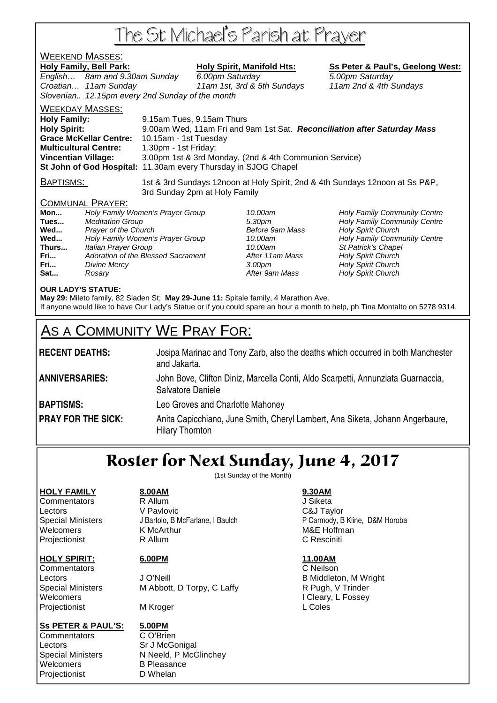# The St Michael's Parish at Prayer

### WEEKEND MASSES:

Holy Family, Bell Park: Holy Spirit, Manifold Hts: Ss Peter & Paul's, Geelong West:

English... 8am and 9.30am Sunday 6.00pm Saturday 6.00 5.00pm Saturday Croatian… 11am Sunday 11am 1st, 3rd & 5th Sundays 11am 2nd & 4th Sundays Slovenian.. 12.15pm every 2nd Sunday of the month

WEEKDAY MASSES: **Holy Family:** 9.15am Tues, 9.15am Thurs **Holy Spirit:** 9.00am Wed, 11am Fri and 9am 1st Sat. **Reconciliation after Saturday Mass Grace McKellar Centre: Multicultural Centre:** 1.30pm - 1st Friday; **Vincentian Village:** 3.00pm 1st & 3rd Monday, (2nd & 4th Communion Service) **St John of God Hospital:** 11.30am every Thursday in SJOG Chapel

BAPTISMS: 1st & 3rd Sundays 12noon at Holy Spirit, 2nd & 4th Sundays 12noon at Ss P&P, 3rd Sunday 2pm at Holy Family

### COMMUNAL PRAYER:

| Mon   | Holy Family Women's Prayer Group   |
|-------|------------------------------------|
| Tues  | <b>Meditation Group</b>            |
| Wed   | Prayer of the Church               |
| Wed   | Holy Family Women's Prayer Group   |
| Thurs | Italian Prayer Group               |
| Fri   | Adoration of the Blessed Sacrament |
| Fri   | Divine Mercy                       |
| Sat   | Rosarv                             |

**After 11am Mass Holy Spirit Church** After 9am Mass **Holy Spirit Church** 

10.00am **Holy Family Community Centre Tues 3.30pm Holy Family Community Centre Before 9am Mass Holy Spirit Church Before 9am Mass Holy Spirit Church** 10.00am **Holy Family Community Centre** 10.00am St Patrick's Chapel **Franch 3.00pm** Holy Spirit Church

### **OUR LADY'S STATUE:**

**May 29:** Mileto family, 82 Sladen St; **May 29-June 11:** Spitale family, 4 Marathon Ave. If anyone would like to have Our Lady's Statue or if you could spare an hour a month to help, ph Tina Montalto on 5278 9314.

## AS A COMMUNITY WE PRAY FOR:

| <b>RECENT DEATHS:</b>     | Josipa Marinac and Tony Zarb, also the deaths which occurred in both Manchester<br>and Jakarta.         |
|---------------------------|---------------------------------------------------------------------------------------------------------|
| <b>ANNIVERSARIES:</b>     | John Bove, Clifton Diniz, Marcella Conti, Aldo Scarpetti, Annunziata Guarnaccia,<br>Salvatore Daniele   |
| <b>BAPTISMS:</b>          | Leo Groves and Charlotte Mahoney                                                                        |
| <b>PRAY FOR THE SICK:</b> | Anita Capicchiano, June Smith, Cheryl Lambert, Ana Siketa, Johann Angerbaure,<br><b>Hilary Thornton</b> |

## Roster for Next Sunday, June 4, 2017

(1st Sunday of the Month)

### **HOLY FAMILY 8.00AM 9.30AM**

Commentators R Allum J Siketa Lectors V Pavlovic C&J Taylor Welcomers **K McArthur MAC 1999** M&E Hoffman Projectionist **R** Allum **C Resciniti** 

Commentators C Neilson Projectionist MKroger MAI MAI L Coles

### **Ss PETER & PAUL'S: 5.00PM**

Commentators C O'Brien Lectors Sr J McGonigal Welcomers B Pleasance Projectionist D Whelan

**HOLY SPIRIT: 6.00PM 11.00AM**

Lectors **Contact Contact Contact Contact Contact Contact Contact Contact Contact Contact Contact Contact Contact Contact Contact Contact Contact Contact Contact Contact Contact Contact Contact Contact Contact Contact Conta** Special Ministers M Abbott, D Torpy, C Laffy R Pugh, V Trinder Welcomers I Cleary, L Fossey

Special Ministers N Neeld, P McGlinchey

Special Ministers J Bartolo, B McFarlane, I Baulch P Carmody, B Kline, D&M Horoba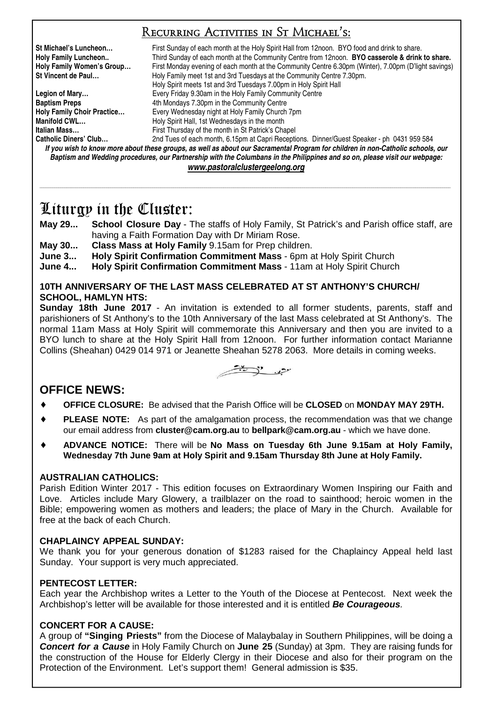### Recurring Activities in St Michael's:

**St Michael's Luncheon…** First Sunday of each month at the Holy Spirit Hall from 12noon. BYO food and drink to share. Holy Family Luncheon.. **Third Sunday of each month at the Community Centre from 12noon. <b>BYO casserole & drink to share.**<br>Holy Family Women's Group... First Monday evening of each month at the Community Centre 6.30pm (Wint First Monday evening of each month at the Community Centre 6.30pm (Winter), 7.00pm (D'light savings) **St Vincent de Paul…** Holy Family meet 1st and 3rd Tuesdays at the Community Centre 7.30pm. Holy Spirit meets 1st and 3rd Tuesdays 7.00pm in Holy Spirit Hall **Legion of Mary…** Every Friday 9.30am in the Holy Family Community Centre **Baptism Preps** <br> **Holy Family Choir Practice... Ath Mondays 7.30pm in the Community Centre Holy Family Church Holy Family Choir Practice…** Every Wednesday night at Holy Family Church 7pm **Manifold CWL... Holy Spirit Hall, 1st Wednesdays in the month Italian Mass…** First Thursday of the month in St Patrick's Chapel 2nd Tues of each month, 6.15pm at Capri Receptions. Dinner/Guest Speaker - ph 0431 959 584

*If you wish to know more about these groups, as well as about our Sacramental Program for children in non-Catholic schools, our Baptism and Wedding procedures, our Partnership with the Columbans in the Philippines and so on, please visit our webpage: www.pastoralclustergeelong.org*

\_\_\_\_\_\_\_\_\_\_\_\_\_\_\_\_\_\_\_\_\_\_\_\_\_\_\_\_\_\_\_\_\_\_\_\_\_\_\_\_\_\_\_\_\_\_\_\_\_\_\_\_\_\_\_\_\_\_\_\_\_\_\_\_\_\_\_\_\_\_\_\_\_\_\_\_\_\_\_\_\_\_\_\_\_\_\_\_\_\_\_\_\_\_\_\_\_\_\_\_\_\_\_\_\_\_\_\_\_\_\_\_\_\_\_\_\_\_\_\_\_\_\_\_\_\_\_\_\_\_\_\_\_\_\_\_\_\_\_\_\_\_\_\_\_\_\_\_\_\_\_\_\_\_\_\_\_\_\_\_\_\_\_\_\_\_\_\_\_\_\_\_\_\_\_\_\_\_\_\_\_\_\_\_\_\_\_\_\_\_\_\_\_\_\_\_\_

## Liturgy in the Cluster:

- **May 29... School Closure Day** The staffs of Holy Family, St Patrick's and Parish office staff, are having a Faith Formation Day with Dr Miriam Rose.
- **May 30... Class Mass at Holy Family** 9.15am for Prep children.
- **June 3... Holy Spirit Confirmation Commitment Mass** 6pm at Holy Spirit Church
- **June 4... Holy Spirit Confirmation Commitment Mass** 11am at Holy Spirit Church

### **10TH ANNIVERSARY OF THE LAST MASS CELEBRATED AT ST ANTHONY'S CHURCH/ SCHOOL, HAMLYN HTS:**

**Sunday 18th June 2017** - An invitation is extended to all former students, parents, staff and parishioners of St Anthony's to the 10th Anniversary of the last Mass celebrated at St Anthony's. The normal 11am Mass at Holy Spirit will commemorate this Anniversary and then you are invited to a BYO lunch to share at the Holy Spirit Hall from 12noon. For further information contact Marianne Collins (Sheahan) 0429 014 971 or Jeanette Sheahan 5278 2063. More details in coming weeks.



### **OFFICE NEWS:**

- ♦ **OFFICE CLOSURE:** Be advised that the Parish Office will be **CLOSED** on **MONDAY MAY 29TH.**
- ♦ **PLEASE NOTE:** As part of the amalgamation process, the recommendation was that we change our email address from **cluster@cam.org.au** to **bellpark@cam.org.au** - which we have done.
- ♦ **ADVANCE NOTICE:** There will be **No Mass on Tuesday 6th June 9.15am at Holy Family, Wednesday 7th June 9am at Holy Spirit and 9.15am Thursday 8th June at Holy Family.**

### **AUSTRALIAN CATHOLICS:**

Parish Edition Winter 2017 - This edition focuses on Extraordinary Women Inspiring our Faith and Love. Articles include Mary Glowery, a trailblazer on the road to sainthood; heroic women in the Bible; empowering women as mothers and leaders; the place of Mary in the Church. Available for free at the back of each Church.

### **CHAPLAINCY APPEAL SUNDAY:**

We thank you for your generous donation of \$1283 raised for the Chaplaincy Appeal held last Sunday. Your support is very much appreciated.

### **PENTECOST LETTER:**

Each year the Archbishop writes a Letter to the Youth of the Diocese at Pentecost. Next week the Archbishop's letter will be available for those interested and it is entitled **Be Courageous**.

### **CONCERT FOR A CAUSE:**

A group of **"Singing Priests"** from the Diocese of Malaybalay in Southern Philippines, will be doing a **Concert for a Cause** in Holy Family Church on **June 25** (Sunday) at 3pm. They are raising funds for the construction of the House for Elderly Clergy in their Diocese and also for their program on the Protection of the Environment. Let's support them! General admission is \$35.